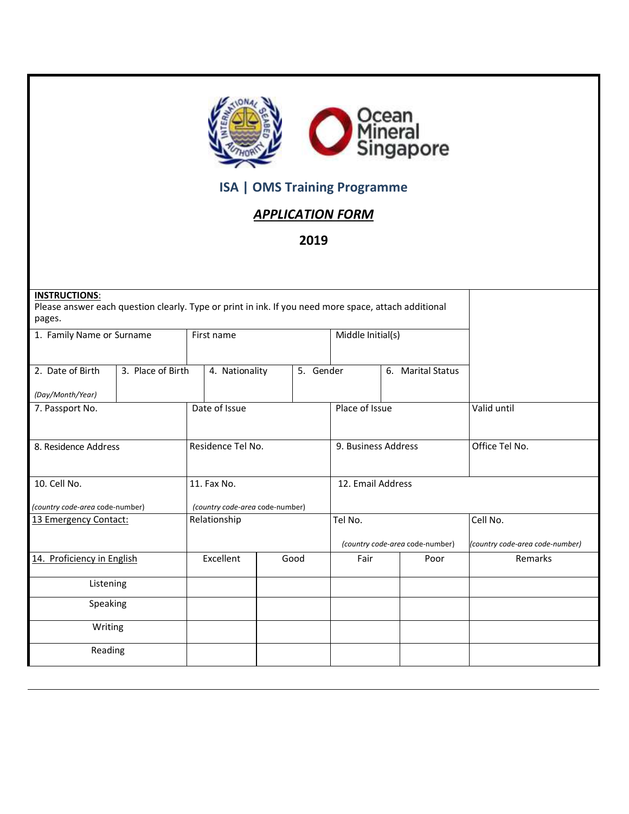

## **ISA | OMS Training Programme**

## *APPLICATION FORM*

**2019**

| <b>INSTRUCTIONS:</b><br>Please answer each question clearly. Type or print in ink. If you need more space, attach additional<br>pages. |                                                |           |                                            |                   |                                             |
|----------------------------------------------------------------------------------------------------------------------------------------|------------------------------------------------|-----------|--------------------------------------------|-------------------|---------------------------------------------|
| 1. Family Name or Surname                                                                                                              | First name                                     |           | Middle Initial(s)                          |                   |                                             |
| 2. Date of Birth<br>3. Place of Birth<br>(Day/Month/Year)                                                                              | 4. Nationality                                 | 5. Gender |                                            | 6. Marital Status |                                             |
| 7. Passport No.                                                                                                                        | Date of Issue                                  |           | Place of Issue                             |                   | Valid until                                 |
| 8. Residence Address                                                                                                                   | Residence Tel No.                              |           | 9. Business Address                        |                   | Office Tel No.                              |
| 10. Cell No.<br>(country code-area code-number)                                                                                        | 11. Fax No.<br>(country code-area code-number) |           | 12. Email Address                          |                   |                                             |
| 13 Emergency Contact:                                                                                                                  | Relationship                                   |           | Tel No.<br>(country code-area code-number) |                   | Cell No.<br>(country code-area code-number) |
| 14. Proficiency in English                                                                                                             | Excellent                                      | Good      | Fair                                       | Poor              | Remarks                                     |
| Listening                                                                                                                              |                                                |           |                                            |                   |                                             |
| Speaking                                                                                                                               |                                                |           |                                            |                   |                                             |
| Writing                                                                                                                                |                                                |           |                                            |                   |                                             |
| Reading                                                                                                                                |                                                |           |                                            |                   |                                             |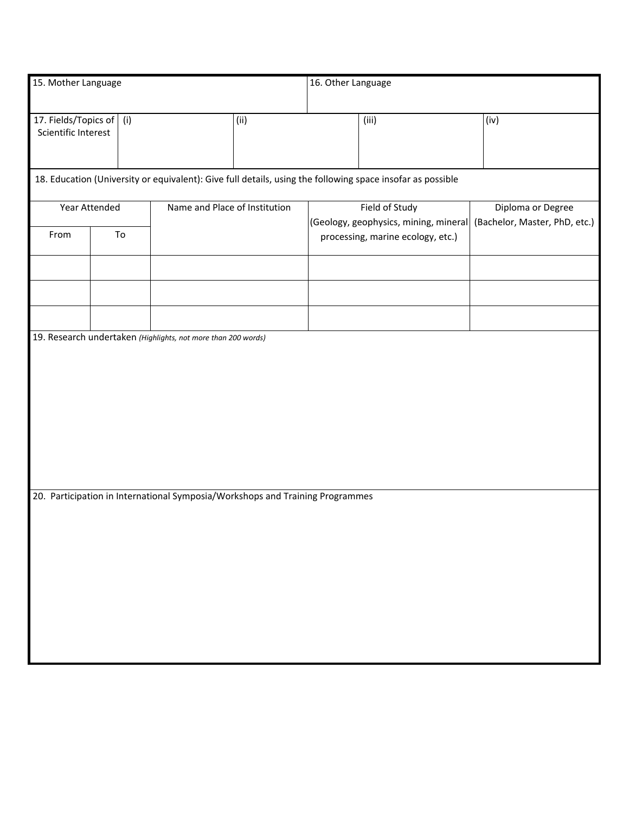| 15. Mother Language                               |                                                                                                            |                                                                               |      | 16. Other Language                                      |                                   |                                                    |  |  |
|---------------------------------------------------|------------------------------------------------------------------------------------------------------------|-------------------------------------------------------------------------------|------|---------------------------------------------------------|-----------------------------------|----------------------------------------------------|--|--|
| 17. Fields/Topics of   (i)<br>Scientific Interest |                                                                                                            |                                                                               | (ii) |                                                         | (iii)                             | (iv)                                               |  |  |
|                                                   | 18. Education (University or equivalent): Give full details, using the following space insofar as possible |                                                                               |      |                                                         |                                   |                                                    |  |  |
| Year Attended                                     |                                                                                                            | Name and Place of Institution                                                 |      | Field of Study<br>(Geology, geophysics, mining, mineral |                                   | Diploma or Degree<br>(Bachelor, Master, PhD, etc.) |  |  |
| From                                              | To                                                                                                         |                                                                               |      |                                                         | processing, marine ecology, etc.) |                                                    |  |  |
|                                                   |                                                                                                            |                                                                               |      |                                                         |                                   |                                                    |  |  |
|                                                   |                                                                                                            |                                                                               |      |                                                         |                                   |                                                    |  |  |
|                                                   |                                                                                                            | 19. Research undertaken (Highlights, not more than 200 words)                 |      |                                                         |                                   |                                                    |  |  |
|                                                   |                                                                                                            |                                                                               |      |                                                         |                                   |                                                    |  |  |
|                                                   |                                                                                                            | 20. Participation in International Symposia/Workshops and Training Programmes |      |                                                         |                                   |                                                    |  |  |
|                                                   |                                                                                                            |                                                                               |      |                                                         |                                   |                                                    |  |  |
|                                                   |                                                                                                            |                                                                               |      |                                                         |                                   |                                                    |  |  |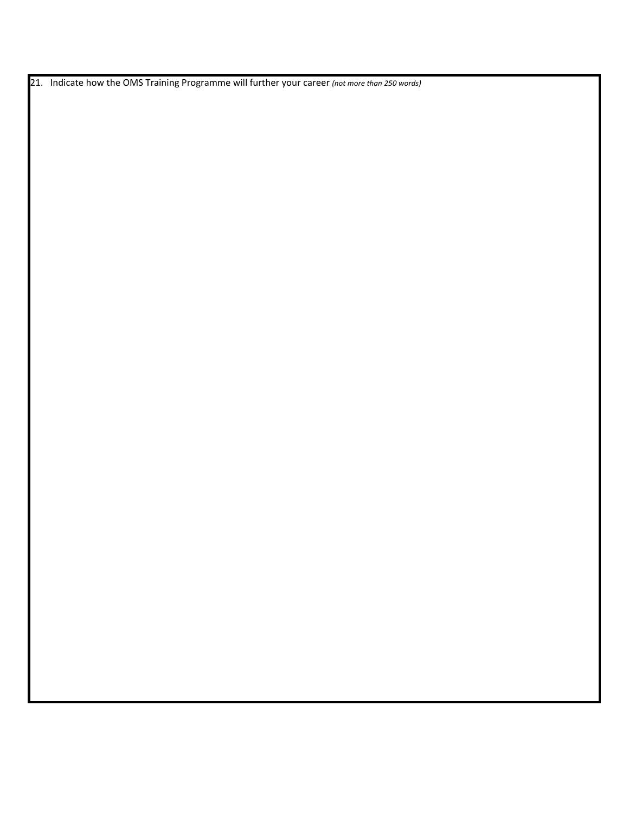21. Indicate how the OMS Training Programme will further your career *(not more than 250 words)*